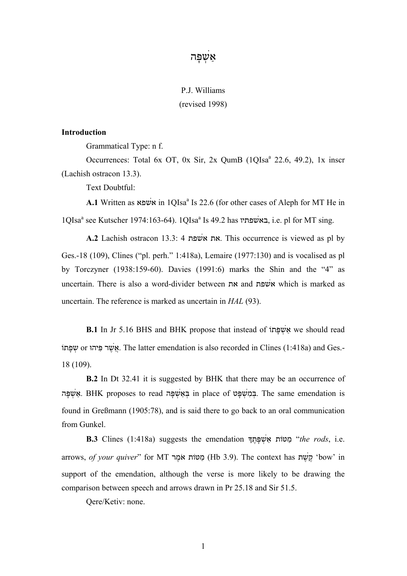## אַשָפּה $\nu$

# P.J. Williams (revised 1998)

## **Introduction**

Grammatical Type: n f.

Occurrences: Total 6x OT, 0x Sir, 2x QumB (1QIsa<sup>a</sup> 22.6, 49.2), 1x inscr (Lachish ostracon 13.3).

Text Doubtful:

A.1 Written as שפא in 1QIsa<sup>a</sup> Is 22.6 (for other cases of Aleph for MT He in 1QIsa<sup>a</sup> see Kutscher 1974:163-64). 1QIsa<sup>a</sup> Is 49.2 has באשפתיו, i.e. pl for MT sing.

**A.2** Lachish ostracon 13.3: 4 שפת\$א את. This occurrence is viewed as pl by Ges.-18 (109), Clines ("pl. perh." 1:418a), Lemaire (1977:130) and is vocalised as pl by Torczyner (1938:159-60). Davies (1991:6) marks the Shin and the "4" as uncertain. There is also a word-divider between את and שפת\$א which is marked as uncertain. The reference is marked as uncertain in *HAL* (93).

**B.1** In Jr 5.16 BHS and BHK propose that instead of אֵ we should read פתוָֹשְ or פּיהוִּ שרֶ \$אֲ. The latter emendation is also recorded in Clines (1:418a) and Ges.- 18 (109).

**B.2** In Dt 32.41 it is suggested by BHK that there may be an occurrence of אַשפּה EHK proposes to read בּאשׁפּה in place of בּמשׁפּט of Line same emendation is found in Greßmann (1905:78), and is said there to go back to an oral communication from Gunkel.

**B.3** Clines (1:418a) suggests the emendation ךָתֶפָּשְ \$אַ מטּוֹתַ" *the rods*, i.e. arrows, *of your quiver*" for MT מרֶאֹ מטּוֹתַ) Hb 3.9). The context has שתֶ \$קֶ' bow' in support of the emendation, although the verse is more likely to be drawing the comparison between speech and arrows drawn in Pr 25.18 and Sir 51.5.

Qere/Ketiv: none.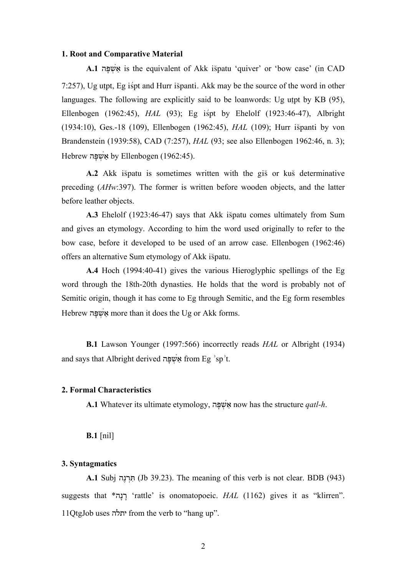#### **1. Root and Comparative Material**

A.1 פּאָשָפּה is the equivalent of Akk ispatu 'quiver' or 'bow case' (in CAD 7:257), Ug utpt, Eg is pt and Hurr is panti. Akk may be the source of the word in other languages. The following are explicitly said to be loanwords: Ug utpt by  $KB$  (95), Ellenbogen (1962:45), *HAL* (93); Eg ispt by Ehelolf (1923:46-47), Albright (1934:10), Ges.-18 (109), Ellenbogen (1962:45), *HAL* (109); Hurr ispanti by von Brandenstein (1939:58), CAD (7:257), *HAL* (93; see also Ellenbogen 1962:46, n. 3); Hebrew אָשָׁפּה by Ellenbogen (1962:45).

**A.2** Akk is patu is sometimes written with the gis or kus determinative preceding (*AHw*:397). The former is written before wooden objects, and the latter before leather objects.

**A.3** Ehelolf (1923:46-47) says that Akk is patu comes ultimately from Sum and gives an etymology. According to him the word used originally to refer to the bow case, before it developed to be used of an arrow case. Ellenbogen (1962:46) offers an alternative Sum etymology of Akk is patu.

**A.4** Hoch (1994:40-41) gives the various Hieroglyphic spellings of the Eg word through the 18th-20th dynasties. He holds that the word is probably not of Semitic origin, though it has come to Eg through Semitic, and the Eg form resembles Hebrew פּאָשָׁפָּה more than it does the Ug or Akk forms.

**B.1** Lawson Younger (1997:566) incorrectly reads *HAL* or Albright (1934) and says that Albright derived אַשָּׁפָּה from Eg 'sp't.

#### **2. Formal Characteristics**

**A.1** Whatever its ultimate etymology, פּהָשְ \$אַ now has the structure *qatl-h*.

#### **B.1** [nil]

### **3. Syntagmatics**

**A.1** Subj נהֶרְתִּ) Jb 39.23). The meaning of this verb is not clear. BDB (943) suggests that \*נהָרָ' rattle' is onomatopoeic. *HAL* (1162) gives it as "klirren". 11QtgJob uses יתלה from the verb to "hang up".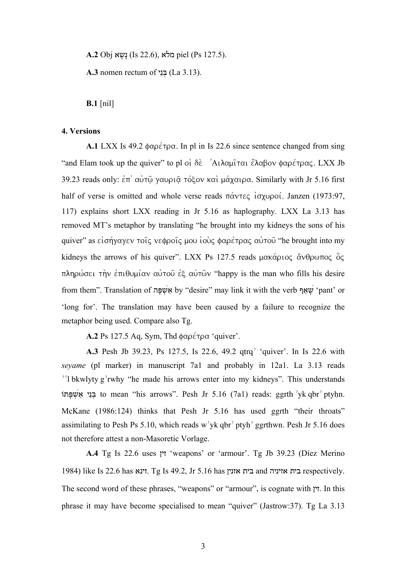**A.2** Obj שאָנָ) Is 22.6), מלא piel (Ps 127.5).

**A.3** nomen rectum of ניֵבְּ) La 3.13).

**B.1** [nil]

## **4. Versions**

**A.1** LXX Is 49.2 φαρέτρα. In pl in Is 22.6 since sentence changed from sing "and Elam took up the quiver" to pl οι δε  $\lambda$ ιλαμίται έλαβον φαρέτρας. LXX Jb 39.23 reads only: ἐπ' αὐτῷ γαυριῷ τόξον καὶ μάχαιρα. Similarly with Jr 5.16 first half of verse is omitted and whole verse reads πάντες ἰσχυροί. Janzen (1973:97, 117) explains short LXX reading in Jr 5.16 as haplography. LXX La 3.13 has removed MT's metaphor by translating "he brought into my kidneys the sons of his quiver" as εἰσήγαγεν τοῖς νεφροῖς µου ἰοὺς φαρέτρας αὐτοῦ "he brought into my kidneys the arrows of his quiver". LXX Ps 127.5 reads µακάριος ἄνθρωπος ὃς πληρώσει τὴν ἐπιθυµίαν αὐτοῦ ἐξ αὐτῶν "happy is the man who fills his desire from them". Translation of שְׁאֵף by "desire" may link it with the verb שָׁאַף 'pant' or 'long for'. The translation may have been caused by a failure to recognize the metaphor being used. Compare also Tg.

**A.2** Ps 127.5 Aq, Sym, Thd φαρέτρα 'quiver'.

**A.3** Pesh Jb 39.23, Ps 127.5, Is 22.6, 49.2 qtrq<sup>3</sup> 'quiver'. In Is 22.6 with *seyame* (pl marker) in manuscript 7a1 and probably in 12a1. La 3.13 reads <sup>16</sup>] bkwlyty g<sup>2</sup>rwhy "he made his arrows enter into my kidneys". This understands בּנֵי אַ to mean "his arrows". Pesh Jr 5.16 (7a1) reads: ggrth 'yk qbr' ptyhn. McKane (1986:124) thinks that Pesh Jr 5.16 has used ggrth "their throats" assimilating to Pesh Ps 5.10, which reads w'yk qbr' ptyh' ggrthwn. Pesh Jr 5.16 does not therefore attest a non-Masoretic Vorlage.

**A.4** Tg Is 22.6 uses זין' weapons' or 'armour'. Tg Jb 39.23 (Díez Merino 1984) like Is 22.6 has זינא. Tg Is 49.2, Jr 5.16 has אזנין בית and אזיניה בית respectively. The second word of these phrases, "weapons" or "armour", is cognate with זין. In this phrase it may have become specialised to mean "quiver" (Jastrow:37). Tg La 3.13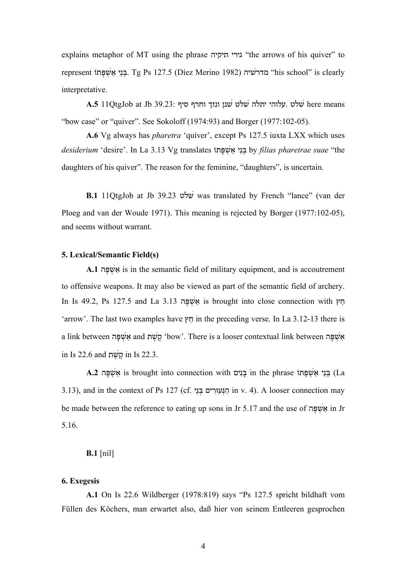explains metaphor of MT using the phrase גירי תיקיה "the arrows of his quiver" to represent בּנֵי אַשִׁפּתּוֹ (1982 Eg Ps 127.5 (Díez Merino 1982) בּנֵי school" is clearly interpretative.

 means here \$שלט .עלוהי יתלה \$שלט \$שנן ונזך וחרף סיף 39.23: Jb at QtgJob11 **.5A** "bow case" or "quiver". See Sokoloff (1974:93) and Borger (1977:102-05).

**A.6** Vg always has *pharetra* 'quiver', except Ps 127.5 iuxta LXX which uses *desiderium* 'desire'. In La 3.13 Vg translates פּתוָֹשְ \$אַ ניֵבְּ by *filias pharetrae suae* "the daughters of his quiver". The reason for the feminine, "daughters", is uncertain.

**B.1** 11QtgJob at Jb 39.23 שלט\$ was translated by French "lance" (van der Ploeg and van der Woude 1971). This meaning is rejected by Borger (1977:102-05), and seems without warrant.

## **5. Lexical/Semantic Field(s)**

**A.1** פּהָשְ \$אַ is in the semantic field of military equipment, and is accoutrement to offensive weapons. It may also be viewed as part of the semantic field of archery. In Is 49.2, Ps 127.5 and La 3.13 אֵשְׁפָּה is brought into close connection with חֵץ 'arrow'. The last two examples have חץֵ in the preceding verse. In La 3.12-13 there is a link between אָשְׁפָּה bow'. There is a looser contextual link between פּהָשָׁת in Is 22.6 and קֵשֶׁת in Is 22.3.

A.2 בְּנֵי אֲשָׁפָּתוֹ in the phrase בְּנִים La 

La 3.13), and in the context of Ps 127 (cf. ניֵבְּ עוּריםִ נְּהַ in v. 4). A looser connection may be made between the reference to eating up sons in Jr 5.17 and the use of אַ in Jr 5.16.

## **B.1** [nil]

#### **6. Exegesis**

**A.1** On Is 22.6 Wildberger (1978:819) says "Ps 127.5 spricht bildhaft vom Füllen des Köchers, man erwartet also, daß hier von seinem Entleeren gesprochen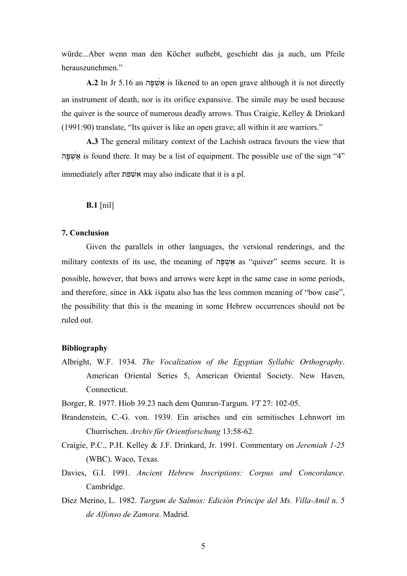würde...Aber wenn man den Köcher aufhebt, geschieht das ja auch, um Pfeile herauszunehmen."

A.2 In Jr 5.16 an פּאָשְׁפָּה is likened to an open grave although it is not directly an instrument of death, nor is its orifice expansive. The simile may be used because the quiver is the source of numerous deadly arrows. Thus Craigie, Kelley & Drinkard (1991:90) translate, "Its quiver is like an open grave; all within it are warriors."

**A.3** The general military context of the Lachish ostraca favours the view that פּהָשְ \$אַ is found there. It may be a list of equipment. The possible use of the sign "4" immediately after אשׁפת may also indicate that it is a pl.

**B.1** [nil]

#### **7. Conclusion**

Given the parallels in other languages, the versional renderings, and the military contexts of its use, the meaning of אֲשֶׁפָּה as "quiver" seems secure. It is possible, however, that bows and arrows were kept in the same case in some periods, and therefore, since in Akk is patu also has the less common meaning of "bow case", the possibility that this is the meaning in some Hebrew occurrences should not be ruled out.

## **Bibliography**

- Albright, W.F. 1934. *The Vocalization of the Egyptian Syllabic Orthography*. American Oriental Series 5, American Oriental Society. New Haven, Connecticut.
- Borger, R. 1977. Hiob 39.23 nach dem Qumran-Targum. *VT* 27: 102-05.
- Brandenstein, C.-G. von. 1939. Ein arisches und ein semitisches Lehnwort im Churrischen. *Archiv für Orientforschung* 13:58-62.
- Craigie, P.C., P.H. Kelley & J.F. Drinkard, Jr. 1991. Commentary on *Jeremiah 1-25* (WBC). Waco, Texas.
- Davies, G.I. 1991. *Ancient Hebrew Inscriptions: Corpus and Concordance*. Cambridge.
- Díez Merino, L. 1982. *Targum de Salmos: Edición Príncipe del Ms. Villa-Amil n. 5 de Alfonso de Zamora*. Madrid.